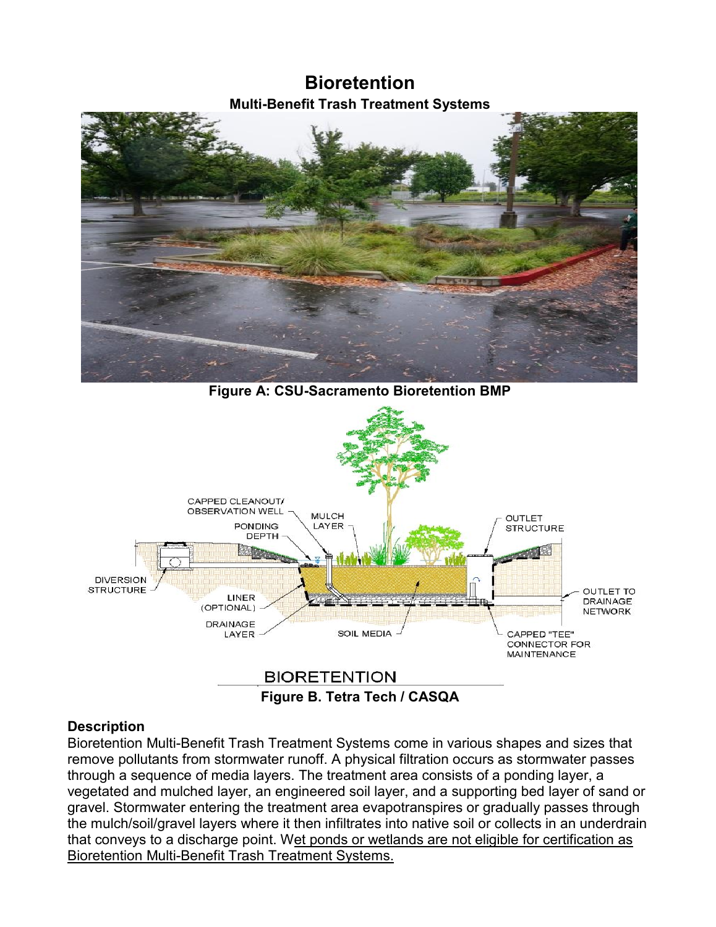## **Bioretention Multi-Benefit Trash Treatment Systems**



**Figure A: CSU-Sacramento Bioretention BMP**



## **Description**

Bioretention Multi-Benefit Trash Treatment Systems come in various shapes and sizes that remove pollutants from stormwater runoff. A physical filtration occurs as stormwater passes through a sequence of media layers. The treatment area consists of a ponding layer, a vegetated and mulched layer, an engineered soil layer, and a supporting bed layer of sand or gravel. Stormwater entering the treatment area evapotranspires or gradually passes through the mulch/soil/gravel layers where it then infiltrates into native soil or collects in an underdrain that conveys to a discharge point. Wet ponds or wetlands are not eligible for certification as Bioretention Multi-Benefit Trash Treatment Systems.